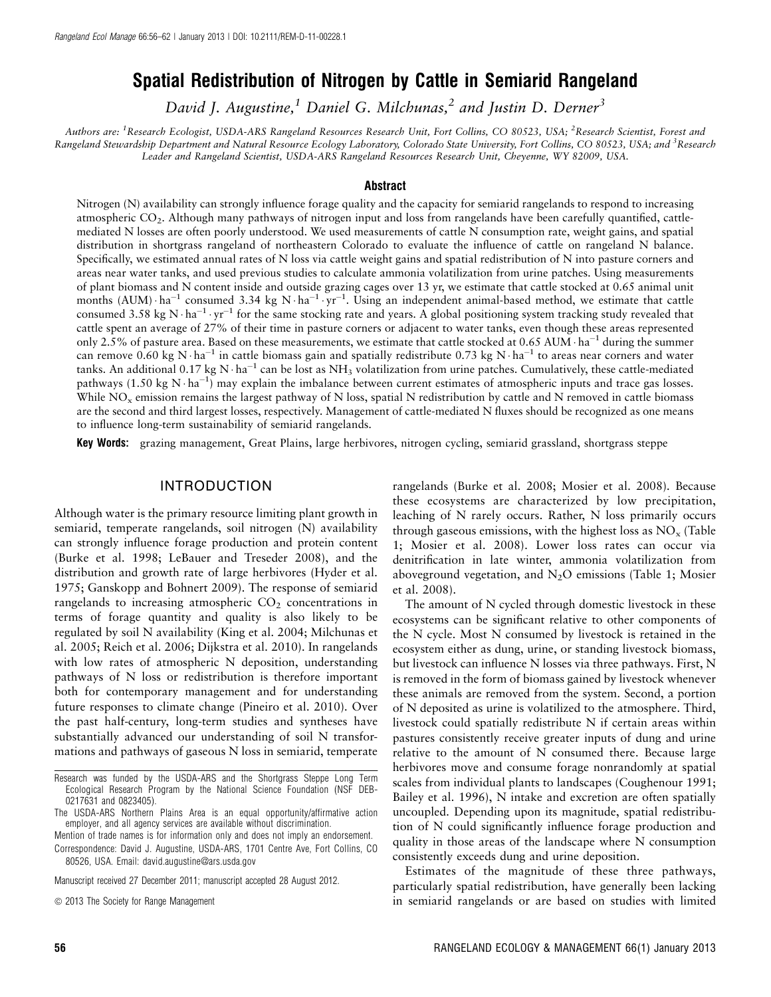# Spatial Redistribution of Nitrogen by Cattle in Semiarid Rangeland

David J. Augustine,<sup>1</sup> Daniel G. Milchunas,<sup>2</sup> and Justin D. Derner<sup>3</sup>

Authors are: <sup>1</sup>Research Ecologist, USDA-ARS Rangeland Resources Research Unit, Fort Collins, CO 80523, USA; <sup>2</sup>Research Scientist, Forest and Rangeland Stewardship Department and Natural Resource Ecology Laboratory, Colorado State University, Fort Collins, CO 80523, USA; and <sup>3</sup>Research Leader and Rangeland Scientist, USDA-ARS Rangeland Resources Research Unit, Cheyenne, WY 82009, USA.

#### Abstract

Nitrogen (N) availability can strongly influence forage quality and the capacity for semiarid rangelands to respond to increasing atmospheric CO2. Although many pathways of nitrogen input and loss from rangelands have been carefully quantified, cattlemediated N losses are often poorly understood. We used measurements of cattle N consumption rate, weight gains, and spatial distribution in shortgrass rangeland of northeastern Colorado to evaluate the influence of cattle on rangeland N balance. Specifically, we estimated annual rates of N loss via cattle weight gains and spatial redistribution of N into pasture corners and areas near water tanks, and used previous studies to calculate ammonia volatilization from urine patches. Using measurements of plant biomass and N content inside and outside grazing cages over 13 yr, we estimate that cattle stocked at 0.65 animal unit months (AUM)  $\cdot$  ha<sup>-1</sup> consumed 3.34 kg N $\cdot$  ha<sup>-1</sup>  $\cdot$  yr<sup>-1</sup>. Using an independent animal-based method, we estimate that cattle consumed 3.58 kg N $\cdot$  ha<sup>-1</sup> $\cdot$  yr<sup>-1</sup> for the same stocking rate and years. A global positioning system tracking study revealed that cattle spent an average of 27% of their time in pasture corners or adjacent to water tanks, even though these areas represented only 2.5% of pasture area. Based on these measurements, we estimate that cattle stocked at 0.65 AUM $\cdot$  ha<sup>-1</sup> during the summer can remove 0.60 kg N $\cdot$  ha $^{-1}$  in cattle biomass gain and spatially redistribute 0.73 kg N $\cdot$  ha $^{-1}$  to areas near corners and water tanks. An additional 0.17 kg N $\cdot$ ha<sup>-1</sup> can be lost as NH<sub>3</sub> volatilization from urine patches. Cumulatively, these cattle-mediated pathways (1.50 kg N $\cdot$  ha<sup>-1</sup>) may explain the imbalance between current estimates of atmospheric inputs and trace gas losses. While  $NO<sub>x</sub>$  emission remains the largest pathway of N loss, spatial N redistribution by cattle and N removed in cattle biomass are the second and third largest losses, respectively. Management of cattle-mediated N fluxes should be recognized as one means to influence long-term sustainability of semiarid rangelands.

Key Words: grazing management, Great Plains, large herbivores, nitrogen cycling, semiarid grassland, shortgrass steppe

### INTRODUCTION

Although water is the primary resource limiting plant growth in semiarid, temperate rangelands, soil nitrogen (N) availability can strongly influence forage production and protein content (Burke et al. 1998; LeBauer and Treseder 2008), and the distribution and growth rate of large herbivores (Hyder et al. 1975; Ganskopp and Bohnert 2009). The response of semiarid rangelands to increasing atmospheric  $CO<sub>2</sub>$  concentrations in terms of forage quantity and quality is also likely to be regulated by soil N availability (King et al. 2004; Milchunas et al. 2005; Reich et al. 2006; Dijkstra et al. 2010). In rangelands with low rates of atmospheric N deposition, understanding pathways of N loss or redistribution is therefore important both for contemporary management and for understanding future responses to climate change (Pineiro et al. 2010). Over the past half-century, long-term studies and syntheses have substantially advanced our understanding of soil N transformations and pathways of gaseous N loss in semiarid, temperate

rangelands (Burke et al. 2008; Mosier et al. 2008). Because these ecosystems are characterized by low precipitation, leaching of N rarely occurs. Rather, N loss primarily occurs through gaseous emissions, with the highest loss as  $NO<sub>x</sub>$  (Table 1; Mosier et al. 2008). Lower loss rates can occur via denitrification in late winter, ammonia volatilization from aboveground vegetation, and  $N_2O$  emissions (Table 1; Mosier et al. 2008).

The amount of N cycled through domestic livestock in these ecosystems can be significant relative to other components of the N cycle. Most N consumed by livestock is retained in the ecosystem either as dung, urine, or standing livestock biomass, but livestock can influence N losses via three pathways. First, N is removed in the form of biomass gained by livestock whenever these animals are removed from the system. Second, a portion of N deposited as urine is volatilized to the atmosphere. Third, livestock could spatially redistribute N if certain areas within pastures consistently receive greater inputs of dung and urine relative to the amount of N consumed there. Because large herbivores move and consume forage nonrandomly at spatial scales from individual plants to landscapes (Coughenour 1991; Bailey et al. 1996), N intake and excretion are often spatially uncoupled. Depending upon its magnitude, spatial redistribution of N could significantly influence forage production and quality in those areas of the landscape where N consumption consistently exceeds dung and urine deposition.

Estimates of the magnitude of these three pathways, particularly spatial redistribution, have generally been lacking in semiarid rangelands or are based on studies with limited

Research was funded by the USDA-ARS and the Shortgrass Steppe Long Term Ecological Research Program by the National Science Foundation (NSF DEB-0217631 and 0823405).

The USDA-ARS Northern Plains Area is an equal opportunity/affirmative action employer, and all agency services are available without discrimination.

Mention of trade names is for information only and does not imply an endorsement.

Correspondence: David J. Augustine, USDA-ARS, 1701 Centre Ave, Fort Collins, CO 80526, USA. Email: david.augustine@ars.usda.gov

Manuscript received 27 December 2011; manuscript accepted 28 August 2012.

 $\odot$  2013 The Society for Range Management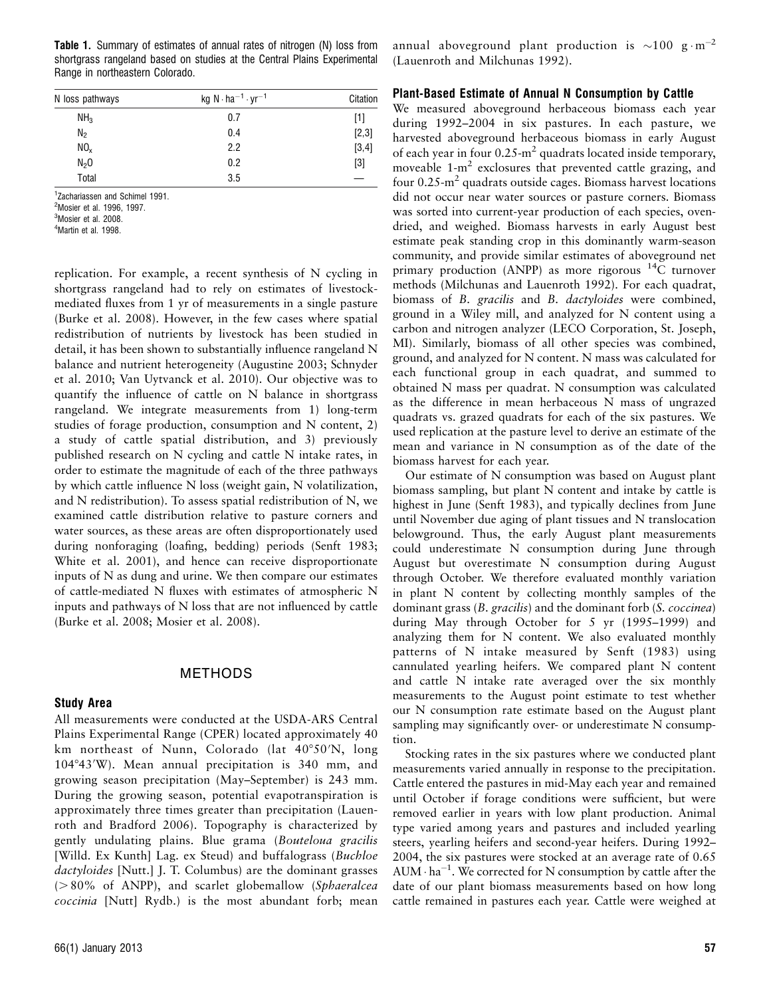Table 1. Summary of estimates of annual rates of nitrogen (N) loss from shortgrass rangeland based on studies at the Central Plains Experimental Range in northeastern Colorado.

| N loss pathways  | kg $N \cdot ha^{-1} \cdot yr^{-1}$ | Citation |
|------------------|------------------------------------|----------|
| NH <sub>3</sub>  | 0.7                                | [1]      |
| $N_2$            | 0.4                                | $[2,3]$  |
| NO <sub>x</sub>  | 2.2                                | [3, 4]   |
| N <sub>2</sub> 0 | 0.2                                | $[3]$    |
| Total            | 3.5                                |          |

1 Zachariassen and Schimel 1991.

2 Mosier et al. 1996, 1997.

3 Mosier et al. 2008.

4 Martin et al. 1998.

replication. For example, a recent synthesis of N cycling in shortgrass rangeland had to rely on estimates of livestockmediated fluxes from 1 yr of measurements in a single pasture (Burke et al. 2008). However, in the few cases where spatial redistribution of nutrients by livestock has been studied in detail, it has been shown to substantially influence rangeland N balance and nutrient heterogeneity (Augustine 2003; Schnyder et al. 2010; Van Uytvanck et al. 2010). Our objective was to quantify the influence of cattle on N balance in shortgrass rangeland. We integrate measurements from 1) long-term studies of forage production, consumption and N content, 2) a study of cattle spatial distribution, and 3) previously published research on N cycling and cattle N intake rates, in order to estimate the magnitude of each of the three pathways by which cattle influence N loss (weight gain, N volatilization, and N redistribution). To assess spatial redistribution of N, we examined cattle distribution relative to pasture corners and water sources, as these areas are often disproportionately used during nonforaging (loafing, bedding) periods (Senft 1983; White et al. 2001), and hence can receive disproportionate inputs of N as dung and urine. We then compare our estimates of cattle-mediated N fluxes with estimates of atmospheric N inputs and pathways of N loss that are not influenced by cattle (Burke et al. 2008; Mosier et al. 2008).

### METHODS

#### Study Area

All measurements were conducted at the USDA-ARS Central Plains Experimental Range (CPER) located approximately 40 km northeast of Nunn, Colorado (lat 40°50′N, long 104°43′W). Mean annual precipitation is 340 mm, and growing season precipitation (May–September) is 243 mm. During the growing season, potential evapotranspiration is approximately three times greater than precipitation (Lauenroth and Bradford 2006). Topography is characterized by gently undulating plains. Blue grama (Bouteloua gracilis [Willd. Ex Kunth] Lag. ex Steud) and buffalograss (Buchloe dactyloides [Nutt.] J. T. Columbus) are the dominant grasses  $(> 80\%$  of ANPP), and scarlet globemallow (Sphaeralcea coccinia [Nutt] Rydb.) is the most abundant forb; mean

annual aboveground plant production is  $\sim$ 100 g $\cdot$ m $^{-2}$ (Lauenroth and Milchunas 1992).

#### Plant-Based Estimate of Annual N Consumption by Cattle

We measured aboveground herbaceous biomass each year during 1992–2004 in six pastures. In each pasture, we harvested aboveground herbaceous biomass in early August of each year in four  $0.25 \text{ m}^2$  quadrats located inside temporary, moveable  $1-m^2$  exclosures that prevented cattle grazing, and four  $0.25 \text{ m}^2$  quadrats outside cages. Biomass harvest locations did not occur near water sources or pasture corners. Biomass was sorted into current-year production of each species, ovendried, and weighed. Biomass harvests in early August best estimate peak standing crop in this dominantly warm-season community, and provide similar estimates of aboveground net primary production (ANPP) as more rigorous <sup>14</sup>C turnover methods (Milchunas and Lauenroth 1992). For each quadrat, biomass of B. gracilis and B. dactyloides were combined, ground in a Wiley mill, and analyzed for N content using a carbon and nitrogen analyzer (LECO Corporation, St. Joseph, MI). Similarly, biomass of all other species was combined, ground, and analyzed for N content. N mass was calculated for each functional group in each quadrat, and summed to obtained N mass per quadrat. N consumption was calculated as the difference in mean herbaceous N mass of ungrazed quadrats vs. grazed quadrats for each of the six pastures. We used replication at the pasture level to derive an estimate of the mean and variance in N consumption as of the date of the biomass harvest for each year.

Our estimate of N consumption was based on August plant biomass sampling, but plant N content and intake by cattle is highest in June (Senft 1983), and typically declines from June until November due aging of plant tissues and N translocation belowground. Thus, the early August plant measurements could underestimate N consumption during June through August but overestimate N consumption during August through October. We therefore evaluated monthly variation in plant N content by collecting monthly samples of the dominant grass (*B. gracilis*) and the dominant forb (*S. coccinea*) during May through October for 5 yr (1995–1999) and analyzing them for N content. We also evaluated monthly patterns of N intake measured by Senft (1983) using cannulated yearling heifers. We compared plant N content and cattle N intake rate averaged over the six monthly measurements to the August point estimate to test whether our N consumption rate estimate based on the August plant sampling may significantly over- or underestimate N consumption.

Stocking rates in the six pastures where we conducted plant measurements varied annually in response to the precipitation. Cattle entered the pastures in mid-May each year and remained until October if forage conditions were sufficient, but were removed earlier in years with low plant production. Animal type varied among years and pastures and included yearling steers, yearling heifers and second-year heifers. During 1992– 2004, the six pastures were stocked at an average rate of 0.65  $AUM \cdot ha^{-1}$ . We corrected for N consumption by cattle after the date of our plant biomass measurements based on how long cattle remained in pastures each year. Cattle were weighed at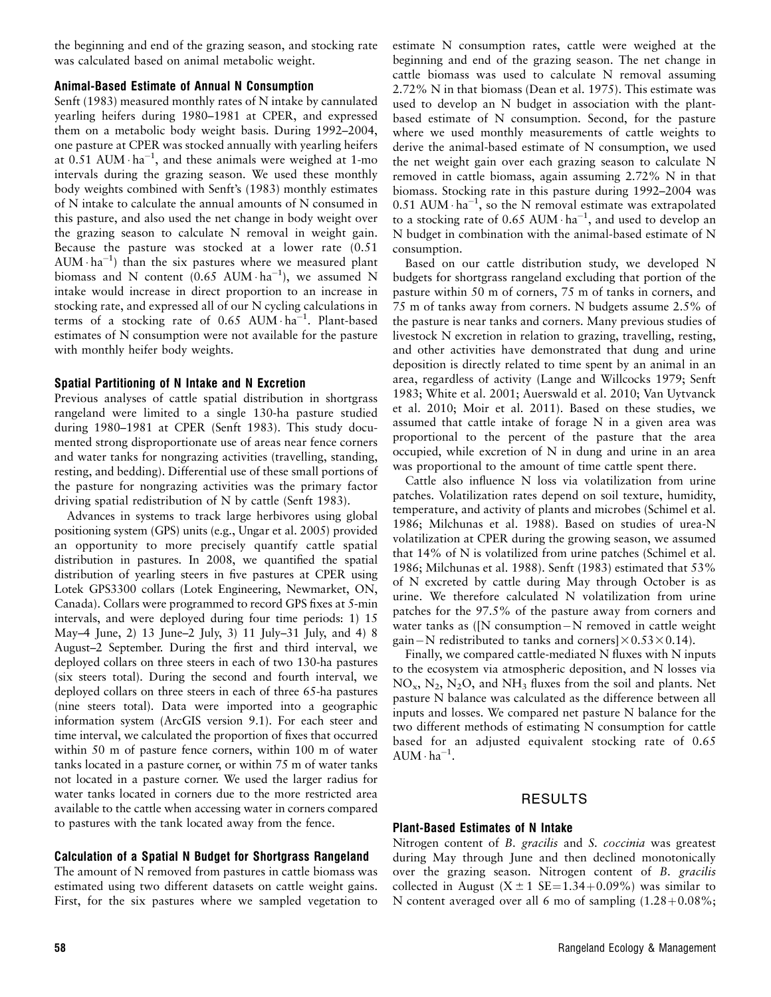the beginning and end of the grazing season, and stocking rate was calculated based on animal metabolic weight.

## Animal-Based Estimate of Annual N Consumption

Senft (1983) measured monthly rates of N intake by cannulated yearling heifers during 1980–1981 at CPER, and expressed them on a metabolic body weight basis. During 1992–2004, one pasture at CPER was stocked annually with yearling heifers at  $0.51$  AUM $\cdot$  ha<sup>-1</sup>, and these animals were weighed at 1-mo intervals during the grazing season. We used these monthly body weights combined with Senft's (1983) monthly estimates of N intake to calculate the annual amounts of N consumed in this pasture, and also used the net change in body weight over the grazing season to calculate N removal in weight gain. Because the pasture was stocked at a lower rate (0.51  $AUM \cdot ha^{-1}$ ) than the six pastures where we measured plant biomass and N content  $(0.65 \text{ AUM} \cdot \text{ha}^{-1})$ , we assumed N intake would increase in direct proportion to an increase in stocking rate, and expressed all of our N cycling calculations in terms of a stocking rate of  $0.65$  AUM  $\cdot$  ha<sup>-1</sup>. Plant-based estimates of N consumption were not available for the pasture with monthly heifer body weights.

## Spatial Partitioning of N Intake and N Excretion

Previous analyses of cattle spatial distribution in shortgrass rangeland were limited to a single 130-ha pasture studied during 1980–1981 at CPER (Senft 1983). This study documented strong disproportionate use of areas near fence corners and water tanks for nongrazing activities (travelling, standing, resting, and bedding). Differential use of these small portions of the pasture for nongrazing activities was the primary factor driving spatial redistribution of N by cattle (Senft 1983).

Advances in systems to track large herbivores using global positioning system (GPS) units (e.g., Ungar et al. 2005) provided an opportunity to more precisely quantify cattle spatial distribution in pastures. In 2008, we quantified the spatial distribution of yearling steers in five pastures at CPER using Lotek GPS3300 collars (Lotek Engineering, Newmarket, ON, Canada). Collars were programmed to record GPS fixes at 5-min intervals, and were deployed during four time periods: 1) 15 May–4 June, 2) 13 June–2 July, 3) 11 July–31 July, and 4) 8 August–2 September. During the first and third interval, we deployed collars on three steers in each of two 130-ha pastures (six steers total). During the second and fourth interval, we deployed collars on three steers in each of three 65-ha pastures (nine steers total). Data were imported into a geographic information system (ArcGIS version 9.1). For each steer and time interval, we calculated the proportion of fixes that occurred within 50 m of pasture fence corners, within 100 m of water tanks located in a pasture corner, or within 75 m of water tanks not located in a pasture corner. We used the larger radius for water tanks located in corners due to the more restricted area available to the cattle when accessing water in corners compared to pastures with the tank located away from the fence.

# Calculation of a Spatial N Budget for Shortgrass Rangeland

The amount of N removed from pastures in cattle biomass was estimated using two different datasets on cattle weight gains. First, for the six pastures where we sampled vegetation to estimate N consumption rates, cattle were weighed at the beginning and end of the grazing season. The net change in cattle biomass was used to calculate N removal assuming 2.72% N in that biomass (Dean et al. 1975). This estimate was used to develop an N budget in association with the plantbased estimate of N consumption. Second, for the pasture where we used monthly measurements of cattle weights to derive the animal-based estimate of N consumption, we used the net weight gain over each grazing season to calculate N removed in cattle biomass, again assuming 2.72% N in that biomass. Stocking rate in this pasture during 1992–2004 was  $0.51$  AUM $\cdot$  ha<sup>-1</sup>, so the N removal estimate was extrapolated to a stocking rate of 0.65 AUM $\cdot$  ha<sup>-1</sup>, and used to develop an N budget in combination with the animal-based estimate of N consumption.

Based on our cattle distribution study, we developed N budgets for shortgrass rangeland excluding that portion of the pasture within 50 m of corners, 75 m of tanks in corners, and 75 m of tanks away from corners. N budgets assume 2.5% of the pasture is near tanks and corners. Many previous studies of livestock N excretion in relation to grazing, travelling, resting, and other activities have demonstrated that dung and urine deposition is directly related to time spent by an animal in an area, regardless of activity (Lange and Willcocks 1979; Senft 1983; White et al. 2001; Auerswald et al. 2010; Van Uytvanck et al. 2010; Moir et al. 2011). Based on these studies, we assumed that cattle intake of forage N in a given area was proportional to the percent of the pasture that the area occupied, while excretion of N in dung and urine in an area was proportional to the amount of time cattle spent there.

Cattle also influence N loss via volatilization from urine patches. Volatilization rates depend on soil texture, humidity, temperature, and activity of plants and microbes (Schimel et al. 1986; Milchunas et al. 1988). Based on studies of urea-N volatilization at CPER during the growing season, we assumed that 14% of N is volatilized from urine patches (Schimel et al. 1986; Milchunas et al. 1988). Senft (1983) estimated that 53% of N excreted by cattle during May through October is as urine. We therefore calculated N volatilization from urine patches for the 97.5% of the pasture away from corners and water tanks as ( $[N \text{ consumption}-N \text{ removed in cattle weight}]$ gain–N redistributed to tanks and corners] $\times$ 0.53 $\times$ 0.14).

Finally, we compared cattle-mediated N fluxes with N inputs to the ecosystem via atmospheric deposition, and N losses via  $NO_x$ ,  $N_2$ ,  $N_2O$ , and  $NH_3$  fluxes from the soil and plants. Net pasture N balance was calculated as the difference between all inputs and losses. We compared net pasture N balance for the two different methods of estimating N consumption for cattle based for an adjusted equivalent stocking rate of 0.65  $AUM \cdot ha^{-1}$ .

### RESULTS

### Plant-Based Estimates of N Intake

Nitrogen content of B. gracilis and S. coccinia was greatest during May through June and then declined monotonically over the grazing season. Nitrogen content of B. gracilis collected in August ( $X \pm 1$  SE=1.34+0.09%) was similar to N content averaged over all 6 mo of sampling  $(1.28+0.08\%;$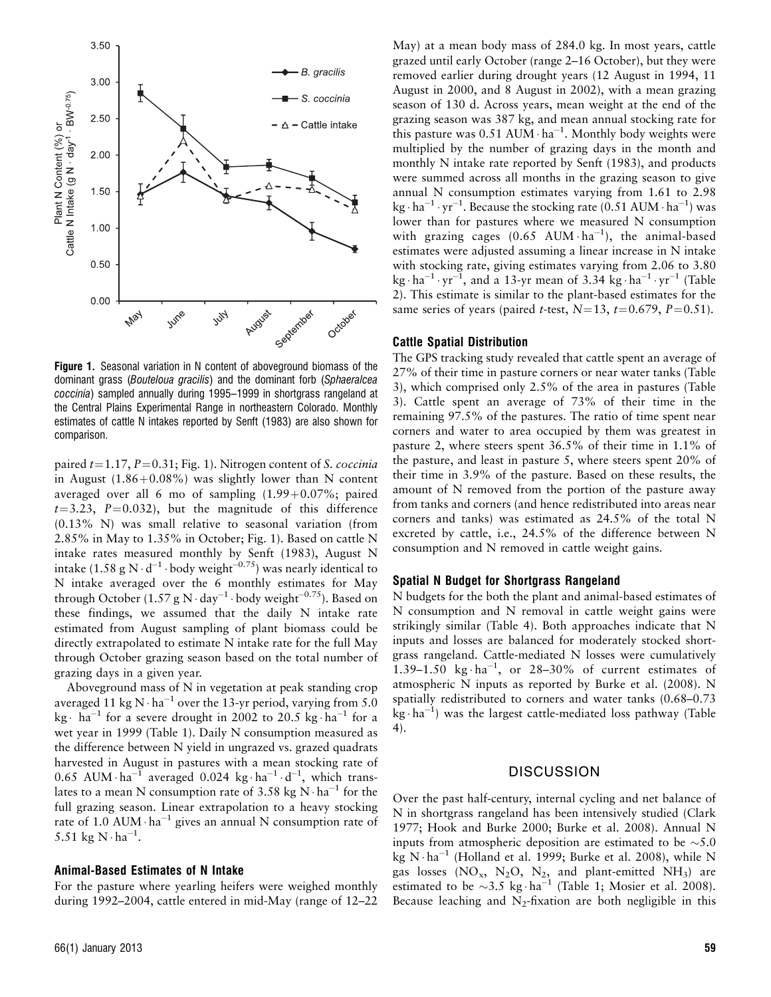

Figure 1. Seasonal variation in N content of aboveground biomass of the dominant grass (Bouteloua gracilis) and the dominant forb (Sphaeralcea coccinia) sampled annually during 1995–1999 in shortgrass rangeland at the Central Plains Experimental Range in northeastern Colorado. Monthly estimates of cattle N intakes reported by Senft (1983) are also shown for comparison.

paired  $t=1.17$ ,  $P=0.31$ ; Fig. 1). Nitrogen content of S. coccinia in August  $(1.86+0.08\%)$  was slightly lower than N content averaged over all 6 mo of sampling  $(1.99+0.07\%;$  paired  $t=3.23$ ,  $P=0.032$ ), but the magnitude of this difference (0.13% N) was small relative to seasonal variation (from 2.85% in May to 1.35% in October; Fig. 1). Based on cattle N intake rates measured monthly by Senft (1983), August N intake (1.58 g N $\cdot$  d<sup>-1</sup> $\cdot$  body weight<sup>-0.75</sup>) was nearly identical to N intake averaged over the 6 monthly estimates for May through October (1.57 g N $\cdot$  day $^{-1}\cdot$  body weight $^{-0.75}$ ). Based on these findings, we assumed that the daily N intake rate estimated from August sampling of plant biomass could be directly extrapolated to estimate N intake rate for the full May through October grazing season based on the total number of grazing days in a given year.

Aboveground mass of N in vegetation at peak standing crop averaged 11 kg N $\cdot$  ha<sup>-1</sup> over the 13-yr period, varying from 5.0 kg  $\cdot$  ha<sup>-1</sup> for a severe drought in 2002 to 20.5 kg $\cdot$  ha<sup>-1</sup> for a wet year in 1999 (Table 1). Daily N consumption measured as the difference between N yield in ungrazed vs. grazed quadrats harvested in August in pastures with a mean stocking rate of 0.65 AUM $\cdot$ ha<sup>-1</sup> averaged 0.024 kg $\cdot$ ha<sup>-1</sup> $\cdot$ d<sup>-1</sup>, which translates to a mean N consumption rate of 3.58 kg N $\cdot$  ha<sup>-1</sup> for the full grazing season. Linear extrapolation to a heavy stocking rate of  $1.0$  AUM $\cdot$  ha<sup>-1</sup> gives an annual N consumption rate of 5.51 kg  $N \cdot ha^{-1}$ .

#### Animal-Based Estimates of N Intake

For the pasture where yearling heifers were weighed monthly during 1992–2004, cattle entered in mid-May (range of 12–22

May) at a mean body mass of 284.0 kg. In most years, cattle grazed until early October (range 2–16 October), but they were removed earlier during drought years (12 August in 1994, 11 August in 2000, and 8 August in 2002), with a mean grazing season of 130 d. Across years, mean weight at the end of the grazing season was 387 kg, and mean annual stocking rate for this pasture was  $0.51$  AUM $\cdot$  ha<sup>-1</sup>. Monthly body weights were multiplied by the number of grazing days in the month and monthly N intake rate reported by Senft (1983), and products were summed across all months in the grazing season to give annual N consumption estimates varying from 1.61 to 2.98 kg $\cdot$  ha<sup>-1</sup> $\cdot$  yr<sup>-1</sup>. Because the stocking rate (0.51 AUM $\cdot$  ha<sup>-1</sup>) was lower than for pastures where we measured N consumption with grazing cages  $(0.65 \text{ AUM} \cdot \text{ha}^{-1})$ , the animal-based estimates were adjusted assuming a linear increase in N intake with stocking rate, giving estimates varying from 2.06 to 3.80 kg $\cdot$  ha<sup>-1</sup> $\cdot$  yr<sup>-1</sup>, and a 13-yr mean of 3.34 kg $\cdot$  ha<sup>-1</sup> $\cdot$  yr<sup>-1</sup> (Table 2). This estimate is similar to the plant-based estimates for the same series of years (paired t-test,  $N=13$ ,  $t=0.679$ ,  $P=0.51$ ).

#### Cattle Spatial Distribution

The GPS tracking study revealed that cattle spent an average of 27% of their time in pasture corners or near water tanks (Table 3), which comprised only 2.5% of the area in pastures (Table 3). Cattle spent an average of 73% of their time in the remaining 97.5% of the pastures. The ratio of time spent near corners and water to area occupied by them was greatest in pasture 2, where steers spent 36.5% of their time in 1.1% of the pasture, and least in pasture 5, where steers spent 20% of their time in 3.9% of the pasture. Based on these results, the amount of N removed from the portion of the pasture away from tanks and corners (and hence redistributed into areas near corners and tanks) was estimated as 24.5% of the total N excreted by cattle, i.e., 24.5% of the difference between N consumption and N removed in cattle weight gains.

#### Spatial N Budget for Shortgrass Rangeland

N budgets for the both the plant and animal-based estimates of N consumption and N removal in cattle weight gains were strikingly similar (Table 4). Both approaches indicate that N inputs and losses are balanced for moderately stocked shortgrass rangeland. Cattle-mediated N losses were cumulatively 1.39-1.50  $\text{kg} \cdot \text{ha}^{-1}$ , or 28-30% of current estimates of atmospheric N inputs as reported by Burke et al. (2008). N spatially redistributed to corners and water tanks (0.68–0.73  $\text{kg} \cdot \text{ha}^{-1}$ ) was the largest cattle-mediated loss pathway (Table 4).

#### **DISCUSSION**

Over the past half-century, internal cycling and net balance of N in shortgrass rangeland has been intensively studied (Clark 1977; Hook and Burke 2000; Burke et al. 2008). Annual N inputs from atmospheric deposition are estimated to be  $\sim$  5.0  $\text{kg N}\cdot\text{ha}^{-1}$  (Holland et al. 1999; Burke et al. 2008), while N gas losses ( $NO_x$ ,  $N_2O$ ,  $N_2$ , and plant-emitted  $NH_3$ ) are estimated to be  $\sim$ 3.5 kg·ha<sup>-1</sup> (Table 1; Mosier et al. 2008). Because leaching and  $N_2$ -fixation are both negligible in this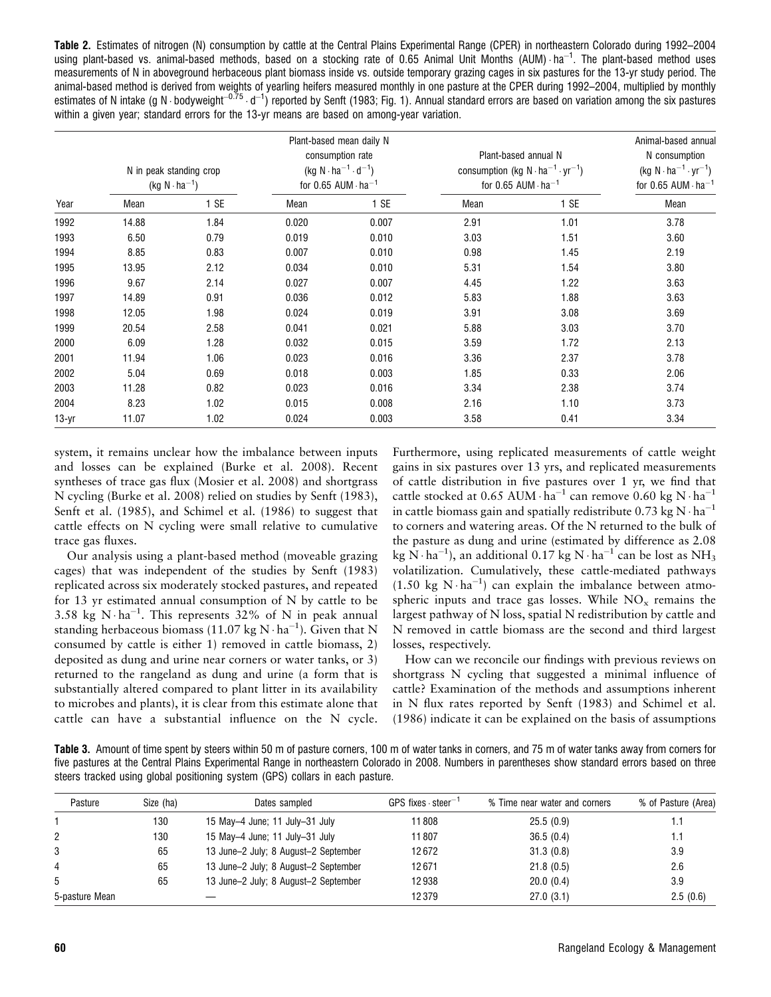Table 2. Estimates of nitrogen (N) consumption by cattle at the Central Plains Experimental Range (CPER) in northeastern Colorado during 1992–2004 using plant-based vs. animal-based methods, based on a stocking rate of 0.65 Animal Unit Months (AUM) ha<sup>-1</sup>. The plant-based method uses measurements of N in aboveground herbaceous plant biomass inside vs. outside temporary grazing cages in six pastures for the 13-yr study period. The animal-based method is derived from weights of yearling heifers measured monthly in one pasture at the CPER during 1992–2004, multiplied by monthly estimates of N intake (g N · bodyweight<sup>-0.75</sup> · d<sup>-1</sup>) reported by Senft (1983; Fig. 1). Annual standard errors are based on variation among the six pastures within a given year; standard errors for the 13-yr means are based on among-year variation.

|         |                                                   |      |                                                                                                  | Plant-based mean daily N |                                                                                                                      |      | Animal-based annual                                                                              |
|---------|---------------------------------------------------|------|--------------------------------------------------------------------------------------------------|--------------------------|----------------------------------------------------------------------------------------------------------------------|------|--------------------------------------------------------------------------------------------------|
|         | N in peak standing crop<br>$(kg N \cdot ha^{-1})$ |      | consumption rate<br>$(kg N \cdot ha^{-1} \cdot d^{-1})$<br>for 0.65 AUM $\cdot$ ha <sup>-1</sup> |                          | Plant-based annual N<br>consumption (kg $N \cdot ha^{-1} \cdot yr^{-1}$ )<br>for $0.65$ AUM $\cdot$ ha <sup>-1</sup> |      | N consumption<br>$(kg N \cdot ha^{-1} \cdot yr^{-1})$<br>for $0.65$ AUM $\cdot$ ha <sup>-1</sup> |
| Year    | Mean                                              | 1 SE | Mean                                                                                             | 1 SE                     | Mean                                                                                                                 | 1 SE | Mean                                                                                             |
| 1992    | 14.88                                             | 1.84 | 0.020                                                                                            | 0.007                    | 2.91                                                                                                                 | 1.01 | 3.78                                                                                             |
| 1993    | 6.50                                              | 0.79 | 0.019                                                                                            | 0.010                    | 3.03                                                                                                                 | 1.51 | 3.60                                                                                             |
| 1994    | 8.85                                              | 0.83 | 0.007                                                                                            | 0.010                    | 0.98                                                                                                                 | 1.45 | 2.19                                                                                             |
| 1995    | 13.95                                             | 2.12 | 0.034                                                                                            | 0.010                    | 5.31                                                                                                                 | 1.54 | 3.80                                                                                             |
| 1996    | 9.67                                              | 2.14 | 0.027                                                                                            | 0.007                    | 4.45                                                                                                                 | 1.22 | 3.63                                                                                             |
| 1997    | 14.89                                             | 0.91 | 0.036                                                                                            | 0.012                    | 5.83                                                                                                                 | 1.88 | 3.63                                                                                             |
| 1998    | 12.05                                             | 1.98 | 0.024                                                                                            | 0.019                    | 3.91                                                                                                                 | 3.08 | 3.69                                                                                             |
| 1999    | 20.54                                             | 2.58 | 0.041                                                                                            | 0.021                    | 5.88                                                                                                                 | 3.03 | 3.70                                                                                             |
| 2000    | 6.09                                              | 1.28 | 0.032                                                                                            | 0.015                    | 3.59                                                                                                                 | 1.72 | 2.13                                                                                             |
| 2001    | 11.94                                             | 1.06 | 0.023                                                                                            | 0.016                    | 3.36                                                                                                                 | 2.37 | 3.78                                                                                             |
| 2002    | 5.04                                              | 0.69 | 0.018                                                                                            | 0.003                    | 1.85                                                                                                                 | 0.33 | 2.06                                                                                             |
| 2003    | 11.28                                             | 0.82 | 0.023                                                                                            | 0.016                    | 3.34                                                                                                                 | 2.38 | 3.74                                                                                             |
| 2004    | 8.23                                              | 1.02 | 0.015                                                                                            | 0.008                    | 2.16                                                                                                                 | 1.10 | 3.73                                                                                             |
| $13-yr$ | 11.07                                             | 1.02 | 0.024                                                                                            | 0.003                    | 3.58                                                                                                                 | 0.41 | 3.34                                                                                             |

system, it remains unclear how the imbalance between inputs and losses can be explained (Burke et al. 2008). Recent syntheses of trace gas flux (Mosier et al. 2008) and shortgrass N cycling (Burke et al. 2008) relied on studies by Senft (1983), Senft et al. (1985), and Schimel et al. (1986) to suggest that cattle effects on N cycling were small relative to cumulative trace gas fluxes.

Our analysis using a plant-based method (moveable grazing cages) that was independent of the studies by Senft (1983) replicated across six moderately stocked pastures, and repeated for 13 yr estimated annual consumption of N by cattle to be 3.58 kg N·ha<sup>-1</sup>. This represents 32% of N in peak annual standing herbaceous biomass (11.07 kg N $\cdot$  ha<sup>-1</sup>). Given that N consumed by cattle is either 1) removed in cattle biomass, 2) deposited as dung and urine near corners or water tanks, or 3) returned to the rangeland as dung and urine (a form that is substantially altered compared to plant litter in its availability to microbes and plants), it is clear from this estimate alone that cattle can have a substantial influence on the N cycle.

Furthermore, using replicated measurements of cattle weight gains in six pastures over 13 yrs, and replicated measurements of cattle distribution in five pastures over 1 yr, we find that cattle stocked at 0.65 AUM $\cdot$ ha<sup>-1</sup> can remove 0.60 kg N $\cdot$ ha<sup>-1</sup> in cattle biomass gain and spatially redistribute 0.73 kg N $\cdot$  ha<sup>-1</sup> to corners and watering areas. Of the N returned to the bulk of the pasture as dung and urine (estimated by difference as 2.08 kg  $\mathrm{N}\cdot\mathrm{ha}^{-1}$ ), an additional 0.17 kg  $\mathrm{N}\cdot\mathrm{ha}^{-1}$  can be lost as  $\mathrm{NH}_3$ volatilization. Cumulatively, these cattle-mediated pathways (1.50 kg N·ha<sup>-1</sup>) can explain the imbalance between atmospheric inputs and trace gas losses. While  $NO<sub>x</sub>$  remains the largest pathway of N loss, spatial N redistribution by cattle and N removed in cattle biomass are the second and third largest losses, respectively.

How can we reconcile our findings with previous reviews on shortgrass N cycling that suggested a minimal influence of cattle? Examination of the methods and assumptions inherent in N flux rates reported by Senft (1983) and Schimel et al. (1986) indicate it can be explained on the basis of assumptions

Table 3. Amount of time spent by steers within 50 m of pasture corners, 100 m of water tanks in corners, and 75 m of water tanks away from corners for five pastures at the Central Plains Experimental Range in northeastern Colorado in 2008. Numbers in parentheses show standard errors based on three steers tracked using global positioning system (GPS) collars in each pasture.

| Pasture        | Size (ha) | Dates sampled                        | $GPS$ fixes $\cdot$ steer <sup>-1</sup> | % Time near water and corners | % of Pasture (Area) |
|----------------|-----------|--------------------------------------|-----------------------------------------|-------------------------------|---------------------|
|                | 130       | 15 May-4 June; 11 July-31 July       | 11808                                   | 25.5(0.9)                     | 1.1                 |
| $\overline{2}$ | 130       | 15 May-4 June; 11 July-31 July       | 11 807                                  | 36.5(0.4)                     | 1.1                 |
| 3              | 65        | 13 June-2 July; 8 August-2 September | 12672                                   | 31.3(0.8)                     | 3.9                 |
| 4              | 65        | 13 June-2 July; 8 August-2 September | 12671                                   | 21.8(0.5)                     | 2.6                 |
| 5              | 65        | 13 June-2 July; 8 August-2 September | 12938                                   | 20.0(0.4)                     | 3.9                 |
| 5-pasture Mean |           |                                      | 12379                                   | 27.0(3.1)                     | 2.5(0.6)            |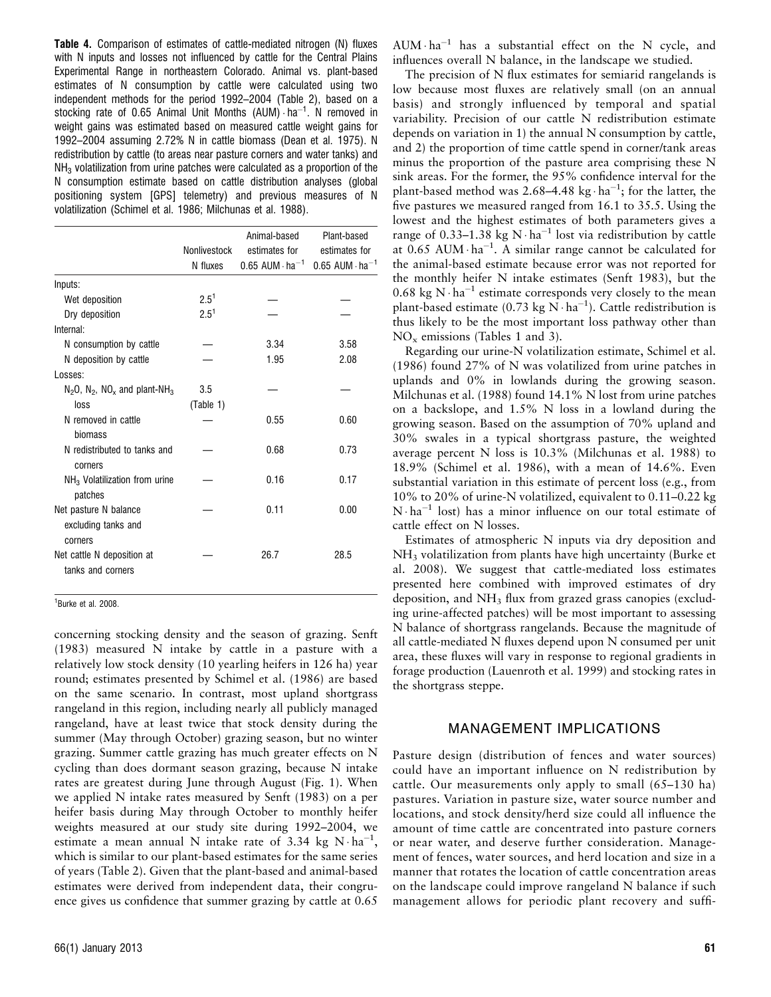Table 4. Comparison of estimates of cattle-mediated nitrogen (N) fluxes with N inputs and losses not influenced by cattle for the Central Plains Experimental Range in northeastern Colorado. Animal vs. plant-based estimates of N consumption by cattle were calculated using two independent methods for the period 1992–2004 (Table 2), based on a stocking rate of 0.65 Animal Unit Months  $(AUM) \cdot ha^{-1}$ . N removed in weight gains was estimated based on measured cattle weight gains for 1992–2004 assuming 2.72% N in cattle biomass (Dean et al. 1975). N redistribution by cattle (to areas near pasture corners and water tanks) and  $NH<sub>3</sub>$  volatilization from urine patches were calculated as a proportion of the N consumption estimate based on cattle distribution analyses (global positioning system [GPS] telemetry) and previous measures of N volatilization (Schimel et al. 1986; Milchunas et al. 1988).

|                                                   |              | Animal-based                  | Plant-based                         |
|---------------------------------------------------|--------------|-------------------------------|-------------------------------------|
|                                                   | Nonlivestock | estimates for                 | estimates for                       |
|                                                   | N fluxes     | $0.65$ AUM $\cdot$ ha $^{-1}$ | $0.65$ AUM $\cdot$ ha <sup>-1</sup> |
| Inputs:                                           |              |                               |                                     |
| Wet deposition                                    | $2.5^{1}$    |                               |                                     |
| Dry deposition                                    | $2.5^{1}$    |                               |                                     |
| Internal:                                         |              |                               |                                     |
| N consumption by cattle                           |              | 3.34                          | 3.58                                |
| N deposition by cattle                            |              | 1.95                          | 2.08                                |
| Losses:                                           |              |                               |                                     |
| $N_2$ O, $N_2$ , $NO_x$ and plant-NH <sub>3</sub> | 3.5          |                               |                                     |
| loss                                              | (Table 1)    |                               |                                     |
| N removed in cattle                               |              | 0.55                          | 0.60                                |
| biomass                                           |              |                               |                                     |
| N redistributed to tanks and                      |              | 0.68                          | 0.73                                |
| corners                                           |              |                               |                                     |
| $NH3$ Volatilization from urine                   |              | 0.16                          | 0.17                                |
| patches                                           |              |                               |                                     |
| Net pasture N balance                             |              | 0.11                          | 0.00                                |
| excluding tanks and                               |              |                               |                                     |
| corners                                           |              |                               |                                     |
| Net cattle N deposition at                        |              | 26.7                          | 28.5                                |
| tanks and corners                                 |              |                               |                                     |
|                                                   |              |                               |                                     |

1 Burke et al. 2008.

concerning stocking density and the season of grazing. Senft (1983) measured N intake by cattle in a pasture with a relatively low stock density (10 yearling heifers in 126 ha) year round; estimates presented by Schimel et al. (1986) are based on the same scenario. In contrast, most upland shortgrass rangeland in this region, including nearly all publicly managed rangeland, have at least twice that stock density during the summer (May through October) grazing season, but no winter grazing. Summer cattle grazing has much greater effects on N cycling than does dormant season grazing, because N intake rates are greatest during June through August (Fig. 1). When we applied N intake rates measured by Senft (1983) on a per heifer basis during May through October to monthly heifer weights measured at our study site during 1992–2004, we estimate a mean annual N intake rate of 3.34 kg  $N \cdot ha^{-1}$ , which is similar to our plant-based estimates for the same series of years (Table 2). Given that the plant-based and animal-based estimates were derived from independent data, their congruence gives us confidence that summer grazing by cattle at 0.65

 $A$ UM $\cdot$  ha<sup>-1</sup> has a substantial effect on the N cycle, and influences overall N balance, in the landscape we studied.

The precision of N flux estimates for semiarid rangelands is low because most fluxes are relatively small (on an annual basis) and strongly influenced by temporal and spatial variability. Precision of our cattle N redistribution estimate depends on variation in 1) the annual N consumption by cattle, and 2) the proportion of time cattle spend in corner/tank areas minus the proportion of the pasture area comprising these N sink areas. For the former, the 95% confidence interval for the plant-based method was 2.68–4.48 kg $\cdot$  ha<sup>-1</sup>; for the latter, the five pastures we measured ranged from 16.1 to 35.5. Using the lowest and the highest estimates of both parameters gives a range of 0.33–1.38 kg N·ha<sup>-1</sup> lost via redistribution by cattle at  $0.65$  AUM $\cdot$ ha<sup>-1</sup>. A similar range cannot be calculated for the animal-based estimate because error was not reported for the monthly heifer N intake estimates (Senft 1983), but the  $0.68 \text{ kg N} \cdot \text{ha}^{-1}$  estimate corresponds very closely to the mean plant-based estimate (0.73 kg  $\overline{N} \cdot \text{ha}^{-1}$ ). Cattle redistribution is thus likely to be the most important loss pathway other than  $NO<sub>x</sub>$  emissions (Tables 1 and 3).

Regarding our urine-N volatilization estimate, Schimel et al. (1986) found 27% of N was volatilized from urine patches in uplands and 0% in lowlands during the growing season. Milchunas et al. (1988) found 14.1% N lost from urine patches on a backslope, and 1.5% N loss in a lowland during the growing season. Based on the assumption of 70% upland and 30% swales in a typical shortgrass pasture, the weighted average percent N loss is 10.3% (Milchunas et al. 1988) to 18.9% (Schimel et al. 1986), with a mean of 14.6%. Even substantial variation in this estimate of percent loss (e.g., from 10% to 20% of urine-N volatilized, equivalent to 0.11–0.22 kg  $N \cdot ha^{-1}$  lost) has a minor influence on our total estimate of cattle effect on N losses.

Estimates of atmospheric N inputs via dry deposition and NH3 volatilization from plants have high uncertainty (Burke et al. 2008). We suggest that cattle-mediated loss estimates presented here combined with improved estimates of dry deposition, and NH3 flux from grazed grass canopies (excluding urine-affected patches) will be most important to assessing N balance of shortgrass rangelands. Because the magnitude of all cattle-mediated N fluxes depend upon N consumed per unit area, these fluxes will vary in response to regional gradients in forage production (Lauenroth et al. 1999) and stocking rates in the shortgrass steppe.

#### MANAGEMENT IMPLICATIONS

Pasture design (distribution of fences and water sources) could have an important influence on N redistribution by cattle. Our measurements only apply to small (65–130 ha) pastures. Variation in pasture size, water source number and locations, and stock density/herd size could all influence the amount of time cattle are concentrated into pasture corners or near water, and deserve further consideration. Management of fences, water sources, and herd location and size in a manner that rotates the location of cattle concentration areas on the landscape could improve rangeland N balance if such management allows for periodic plant recovery and suffi